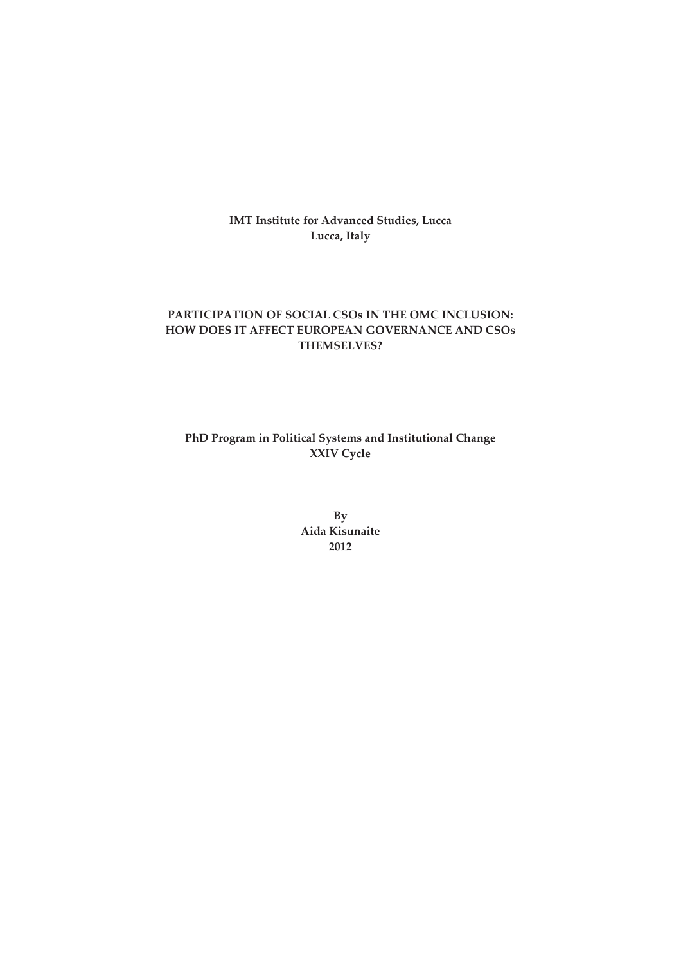**IMT Institute for Advanced Studies, Lucca** Lucca, Italy

# PARTICIPATION OF SOCIAL CSOs IN THE OMC INCLUSION: HOW DOES IT AFFECT EUROPEAN GOVERNANCE AND CSOs **THEMSELVES?**

PhD Program in Political Systems and Institutional Change XXIV Cycle

> $By$ Aida Kisunaite 2012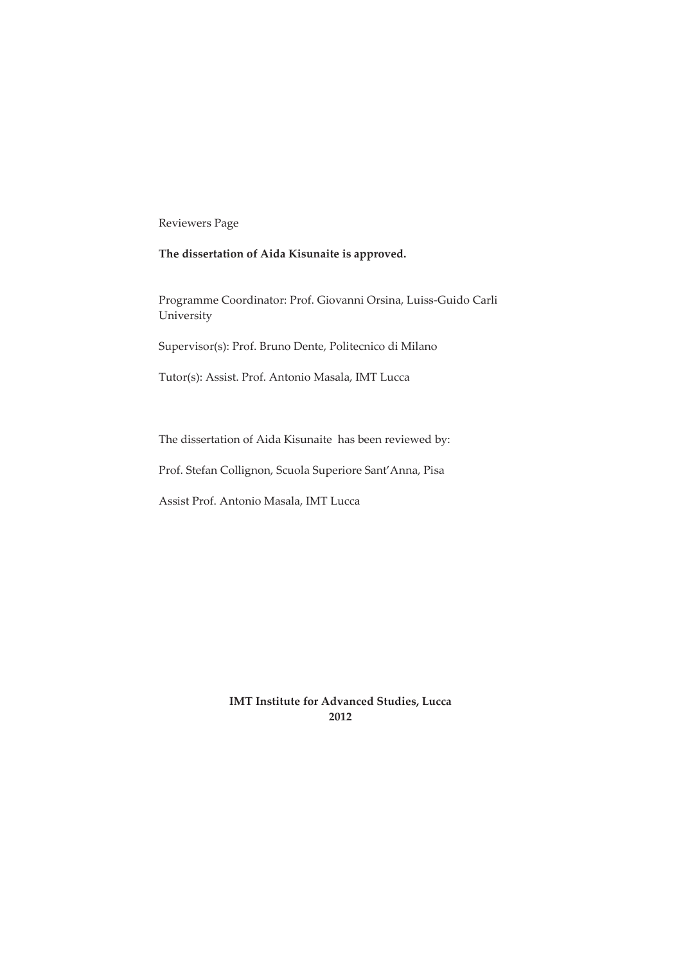Reviewers Page

## The dissertation of Aida Kisunaite is approved.

Programme Coordinator: Prof. Giovanni Orsina, Luiss-Guido Carli University

Supervisor(s): Prof. Bruno Dente, Politecnico di Milano

Tutor(s): Assist. Prof. Antonio Masala, IMT Lucca

The dissertation of Aida Kisunaite has been reviewed by:

Prof. Stefan Collignon, Scuola Superiore Sant' Anna, Pisa

Assist Prof. Antonio Masala, IMT Lucca

**IMT Institute for Advanced Studies, Lucca** 2012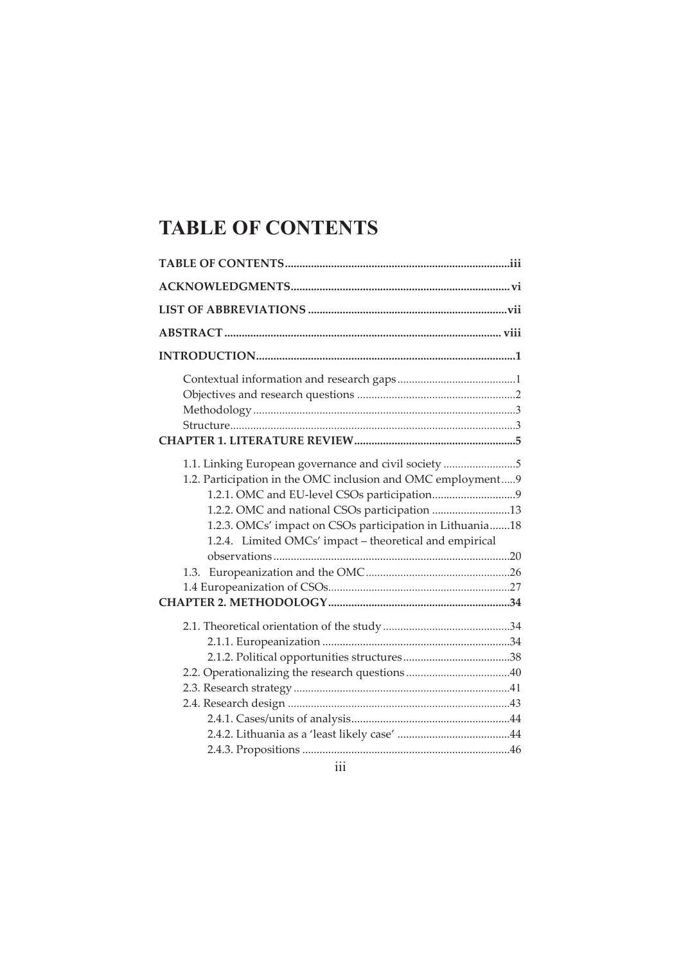# **TABLE OF CONTENTS**

| 1.1. Linking European governance and civil society 5<br>1.2. Participation in the OMC inclusion and OMC employment9<br>1.2.2. OMC and national CSOs participation 13<br>1.2.3. OMCs' impact on CSOs participation in Lithuania18<br>1.2.4. Limited OMCs' impact - theoretical and empirical |  |
|---------------------------------------------------------------------------------------------------------------------------------------------------------------------------------------------------------------------------------------------------------------------------------------------|--|
|                                                                                                                                                                                                                                                                                             |  |

iii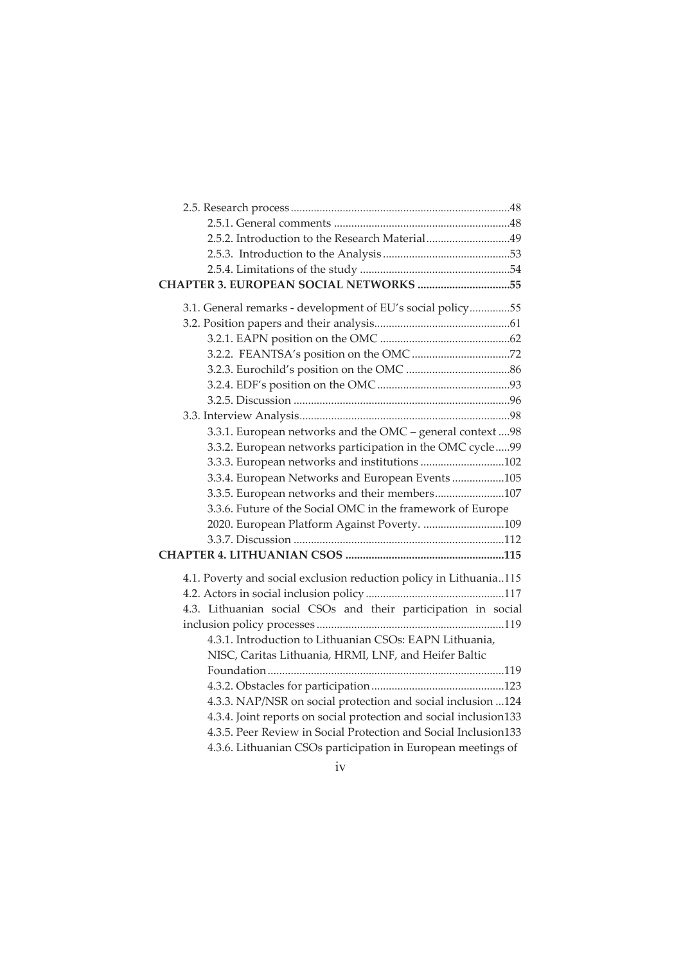| 2.5.2. Introduction to the Research Material49                     |  |
|--------------------------------------------------------------------|--|
|                                                                    |  |
|                                                                    |  |
| CHAPTER 3. EUROPEAN SOCIAL NETWORKS 55                             |  |
| 3.1. General remarks - development of EU's social policy55         |  |
|                                                                    |  |
|                                                                    |  |
|                                                                    |  |
|                                                                    |  |
|                                                                    |  |
|                                                                    |  |
|                                                                    |  |
| 3.3.1. European networks and the OMC - general context  98         |  |
| 3.3.2. European networks participation in the OMC cycle99          |  |
| 3.3.3. European networks and institutions 102                      |  |
| 3.3.4. European Networks and European Events 105                   |  |
| 3.3.5. European networks and their members107                      |  |
| 3.3.6. Future of the Social OMC in the framework of Europe         |  |
| 2020. European Platform Against Poverty. 109                       |  |
|                                                                    |  |
|                                                                    |  |
| 4.1. Poverty and social exclusion reduction policy in Lithuania115 |  |
|                                                                    |  |
| 4.3. Lithuanian social CSOs and their participation in social      |  |
|                                                                    |  |
| 4.3.1. Introduction to Lithuanian CSOs: EAPN Lithuania,            |  |
| NISC, Caritas Lithuania, HRMI, LNF, and Heifer Baltic              |  |
|                                                                    |  |
|                                                                    |  |
| 4.3.3. NAP/NSR on social protection and social inclusion  124      |  |
| 4.3.4. Joint reports on social protection and social inclusion133  |  |
| 4.3.5. Peer Review in Social Protection and Social Inclusion133    |  |
| 4.3.6. Lithuanian CSOs participation in European meetings of       |  |
| the contract of the contract of                                    |  |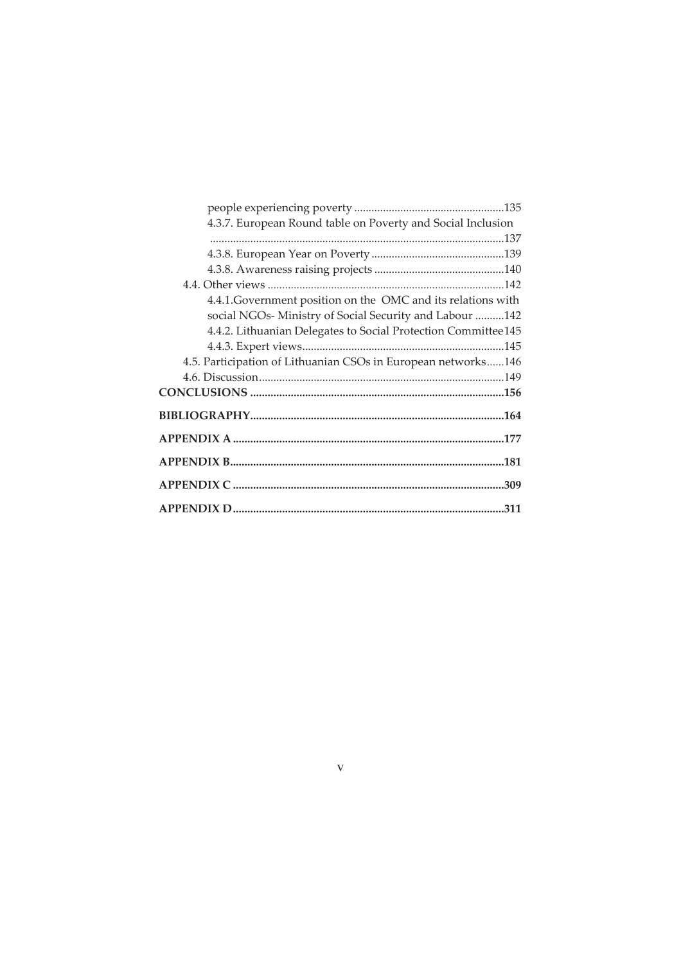| 4.3.7. European Round table on Poverty and Social Inclusion   |      |
|---------------------------------------------------------------|------|
|                                                               |      |
|                                                               |      |
|                                                               |      |
|                                                               |      |
| 4.4.1. Government position on the OMC and its relations with  |      |
| social NGOs- Ministry of Social Security and Labour 142       |      |
| 4.4.2. Lithuanian Delegates to Social Protection Committee145 |      |
|                                                               | .145 |
| 4.5. Participation of Lithuanian CSOs in European networks146 |      |
|                                                               |      |
|                                                               |      |
|                                                               |      |
|                                                               |      |
|                                                               |      |
|                                                               |      |
|                                                               |      |

 $\bar{\mathbf{V}}$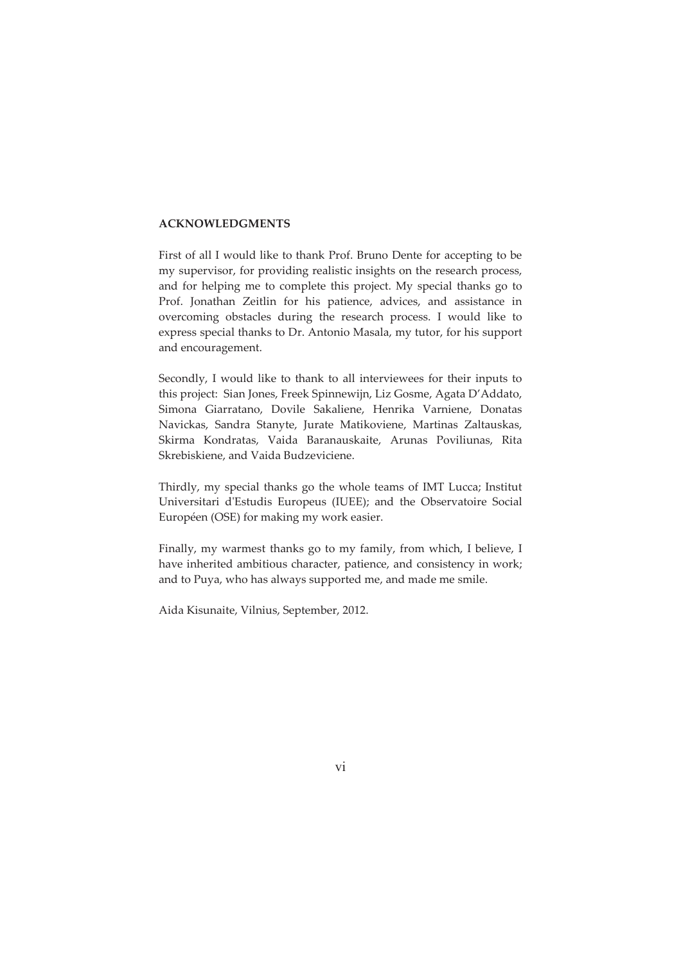#### **ACKNOWLEDGMENTS**

First of all I would like to thank Prof. Bruno Dente for accepting to be my supervisor, for providing realistic insights on the research process, and for helping me to complete this project. My special thanks go to Prof. Jonathan Zeitlin for his patience, advices, and assistance in overcoming obstacles during the research process. I would like to express special thanks to Dr. Antonio Masala, my tutor, for his support and encouragement.

Secondly, I would like to thank to all interviewees for their inputs to this project: Sian Jones, Freek Spinnewijn, Liz Gosme, Agata D'Addato, Simona Giarratano, Dovile Sakaliene, Henrika Varniene, Donatas Navickas, Sandra Stanyte, Jurate Matikoviene, Martinas Zaltauskas, Skirma Kondratas, Vaida Baranauskaite, Arunas Poviliunas, Rita Skrebiskiene, and Vaida Budzeviciene.

Thirdly, my special thanks go the whole teams of IMT Lucca; Institut Universitari d'Estudis Europeus (IUEE); and the Observatoire Social Européen (OSE) for making my work easier.

Finally, my warmest thanks go to my family, from which, I believe, I have inherited ambitious character, patience, and consistency in work; and to Puya, who has always supported me, and made me smile.

Aida Kisunaite, Vilnius, September, 2012.

vi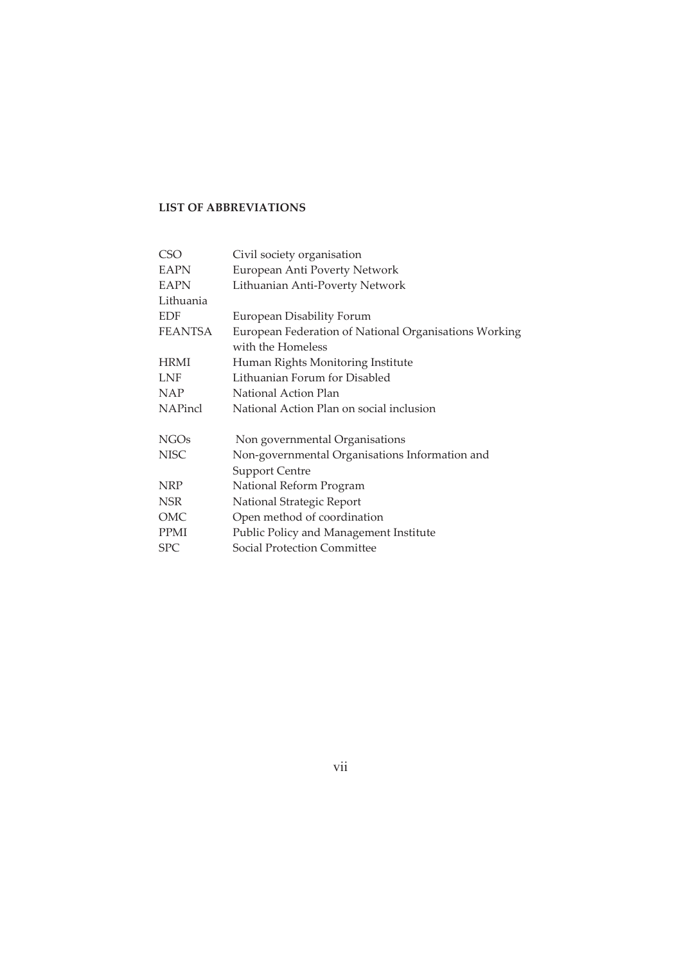## **LIST OF ABBREVIATIONS**

| <b>CSO</b>     | Civil society organisation                            |
|----------------|-------------------------------------------------------|
| <b>EAPN</b>    | European Anti Poverty Network                         |
| <b>EAPN</b>    | Lithuanian Anti-Poverty Network                       |
| Lithuania      |                                                       |
| <b>EDF</b>     | European Disability Forum                             |
| <b>FEANTSA</b> | European Federation of National Organisations Working |
|                | with the Homeless                                     |
| <b>HRMI</b>    | Human Rights Monitoring Institute                     |
| <b>LNF</b>     | Lithuanian Forum for Disabled                         |
| <b>NAP</b>     | National Action Plan                                  |
| <b>NAPincl</b> | National Action Plan on social inclusion              |
|                |                                                       |
| <b>NGOs</b>    | Non governmental Organisations                        |
| <b>NISC</b>    | Non-governmental Organisations Information and        |
|                | <b>Support Centre</b>                                 |
| <b>NRP</b>     | National Reform Program                               |
| <b>NSR</b>     | National Strategic Report                             |
| OMC            | Open method of coordination                           |
| <b>PPMI</b>    | Public Policy and Management Institute                |
| <b>SPC</b>     | <b>Social Protection Committee</b>                    |

 $vii$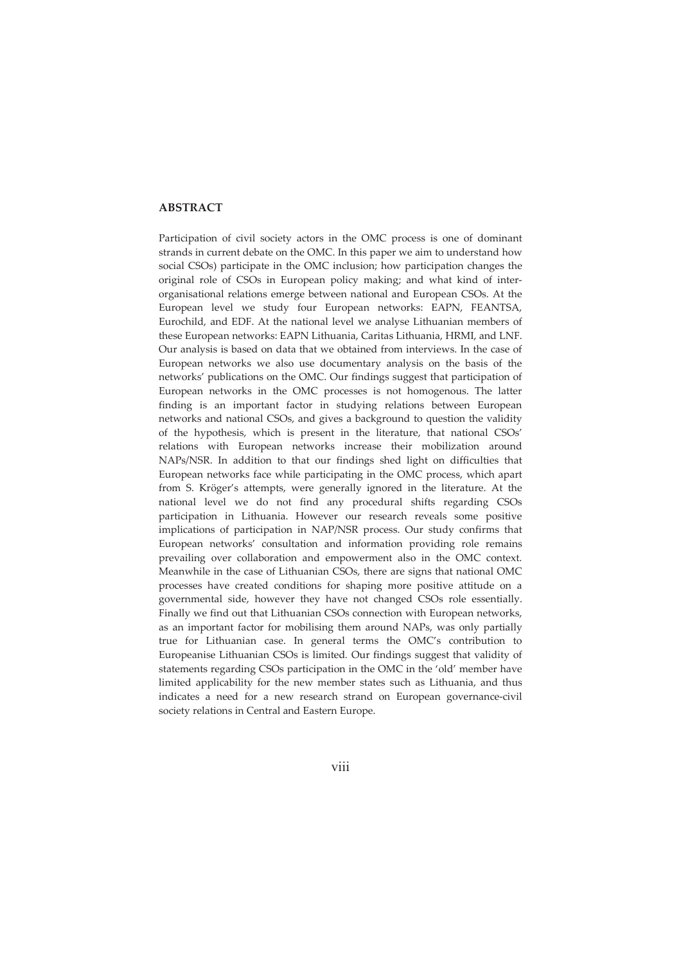#### **ABSTRACT**

Participation of civil society actors in the OMC process is one of dominant strands in current debate on the OMC. In this paper we aim to understand how social CSOs) participate in the OMC inclusion; how participation changes the original role of CSOs in European policy making; and what kind of interorganisational relations emerge between national and European CSOs. At the European level we study four European networks: EAPN, FEANTSA, Eurochild, and EDF. At the national level we analyse Lithuanian members of these European networks: EAPN Lithuania, Caritas Lithuania, HRMI, and LNF. Our analysis is based on data that we obtained from interviews. In the case of European networks we also use documentary analysis on the basis of the networks' publications on the OMC. Our findings suggest that participation of European networks in the OMC processes is not homogenous. The latter finding is an important factor in studying relations between European networks and national CSOs, and gives a background to question the validity of the hypothesis, which is present in the literature, that national CSOs' relations with European networks increase their mobilization around NAPs/NSR. In addition to that our findings shed light on difficulties that European networks face while participating in the OMC process, which apart from S. Kröger's attempts, were generally ignored in the literature. At the national level we do not find any procedural shifts regarding CSOs participation in Lithuania. However our research reveals some positive implications of participation in NAP/NSR process. Our study confirms that European networks' consultation and information providing role remains prevailing over collaboration and empowerment also in the OMC context. Meanwhile in the case of Lithuanian CSOs, there are signs that national OMC processes have created conditions for shaping more positive attitude on a governmental side, however they have not changed CSOs role essentially. Finally we find out that Lithuanian CSOs connection with European networks, as an important factor for mobilising them around NAPs, was only partially true for Lithuanian case. In general terms the OMC's contribution to Europeanise Lithuanian CSOs is limited. Our findings suggest that validity of statements regarding CSOs participation in the OMC in the 'old' member have limited applicability for the new member states such as Lithuania, and thus indicates a need for a new research strand on European governance-civil society relations in Central and Eastern Europe.

viii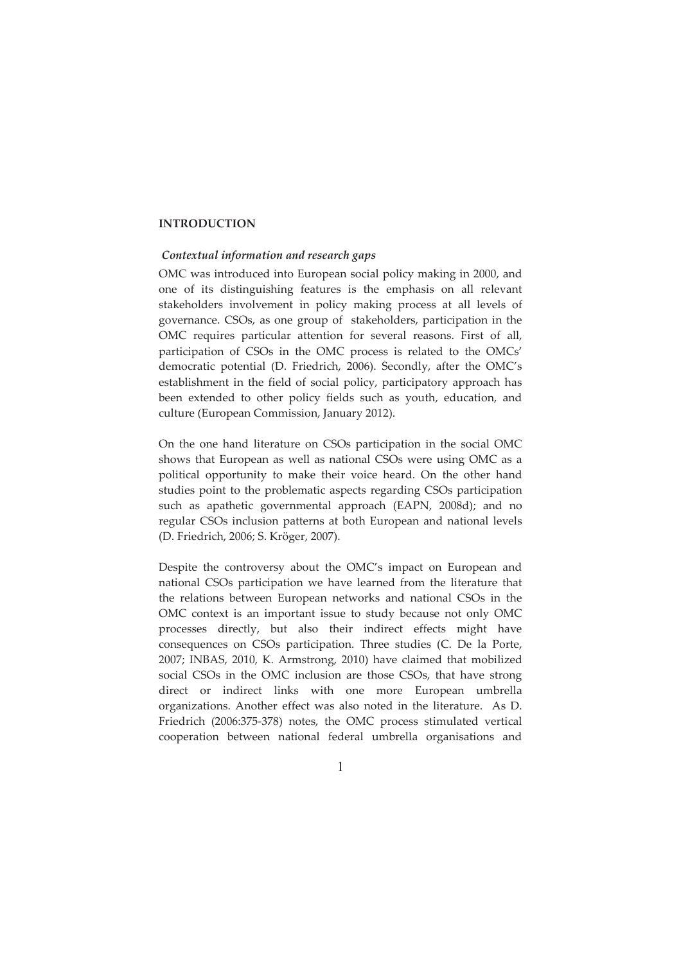#### **INTRODUCTION**

#### Contextual information and research gaps

OMC was introduced into European social policy making in 2000, and one of its distinguishing features is the emphasis on all relevant stakeholders involvement in policy making process at all levels of governance. CSOs, as one group of stakeholders, participation in the OMC requires particular attention for several reasons. First of all, participation of CSOs in the OMC process is related to the OMCs' democratic potential (D. Friedrich, 2006). Secondly, after the OMC's establishment in the field of social policy, participatory approach has been extended to other policy fields such as youth, education, and culture (European Commission, January 2012).

On the one hand literature on CSOs participation in the social OMC shows that European as well as national CSOs were using OMC as a political opportunity to make their voice heard. On the other hand studies point to the problematic aspects regarding CSOs participation such as apathetic governmental approach (EAPN, 2008d); and no regular CSOs inclusion patterns at both European and national levels (D. Friedrich, 2006; S. Kröger, 2007).

Despite the controversy about the OMC's impact on European and national CSOs participation we have learned from the literature that the relations between European networks and national CSOs in the OMC context is an important issue to study because not only OMC processes directly, but also their indirect effects might have consequences on CSOs participation. Three studies (C. De la Porte, 2007; INBAS, 2010, K. Armstrong, 2010) have claimed that mobilized social CSOs in the OMC inclusion are those CSOs, that have strong direct or indirect links with one more European umbrella organizations. Another effect was also noted in the literature. As D. Friedrich (2006:375-378) notes, the OMC process stimulated vertical cooperation between national federal umbrella organisations and

 $\mathbf{1}$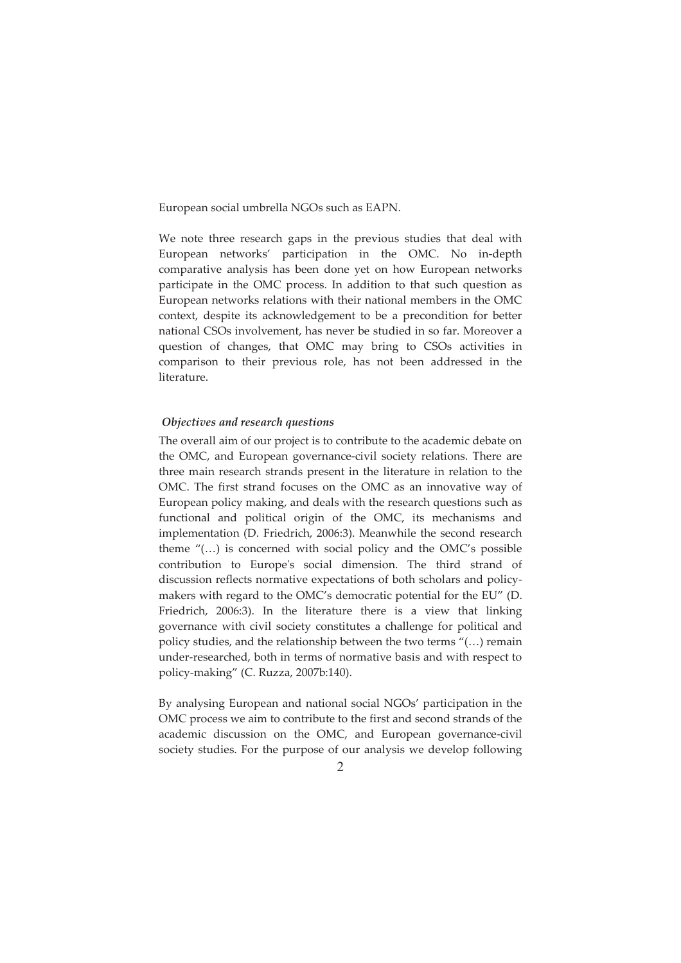European social umbrella NGOs such as EAPN.

We note three research gaps in the previous studies that deal with European networks' participation in the OMC. No in-depth comparative analysis has been done yet on how European networks participate in the OMC process. In addition to that such question as European networks relations with their national members in the OMC context, despite its acknowledgement to be a precondition for better national CSOs involvement, has never be studied in so far. Moreover a question of changes, that OMC may bring to CSOs activities in comparison to their previous role, has not been addressed in the literature.

#### Objectives and research questions

The overall aim of our project is to contribute to the academic debate on the OMC, and European governance-civil society relations. There are three main research strands present in the literature in relation to the OMC. The first strand focuses on the OMC as an innovative way of European policy making, and deals with the research questions such as functional and political origin of the OMC, its mechanisms and implementation (D. Friedrich, 2006:3). Meanwhile the second research theme  $\lq$ (...) is concerned with social policy and the OMC's possible contribution to Europe's social dimension. The third strand of discussion reflects normative expectations of both scholars and policymakers with regard to the OMC's democratic potential for the EU" (D. Friedrich, 2006:3). In the literature there is a view that linking governance with civil society constitutes a challenge for political and policy studies, and the relationship between the two terms  $\ell$ (...) remain under-researched, both in terms of normative basis and with respect to policy-making" (C. Ruzza, 2007b:140).

By analysing European and national social NGOs' participation in the OMC process we aim to contribute to the first and second strands of the academic discussion on the OMC, and European governance-civil society studies. For the purpose of our analysis we develop following

2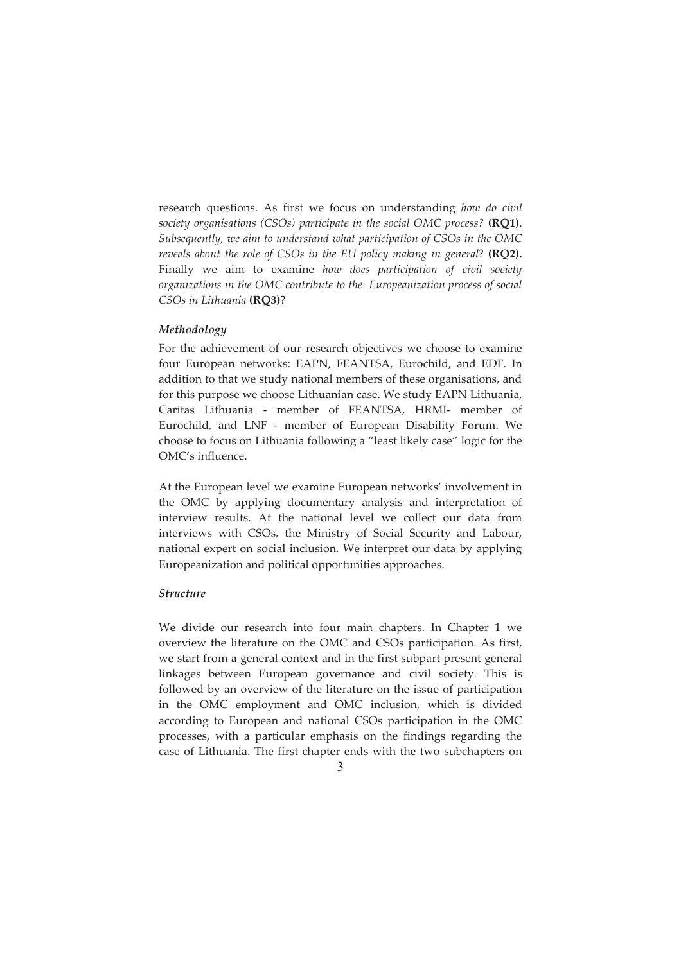research questions. As first we focus on understanding how do civil society organisations (CSOs) participate in the social OMC process? (RQ1). Subsequently, we aim to understand what participation of CSOs in the OMC reveals about the role of CSOs in the EU policy making in general? (RQ2). Finally we aim to examine how does participation of civil society organizations in the OMC contribute to the Europeanization process of social CSOs in Lithuania (RQ3)?

#### Methodology

For the achievement of our research objectives we choose to examine four European networks: EAPN, FEANTSA, Eurochild, and EDF. In addition to that we study national members of these organisations, and for this purpose we choose Lithuanian case. We study EAPN Lithuania, Caritas Lithuania - member of FEANTSA, HRMI- member of Eurochild, and LNF - member of European Disability Forum. We choose to focus on Lithuania following a "least likely case" logic for the OMC's influence.

At the European level we examine European networks' involvement in the OMC by applying documentary analysis and interpretation of interview results. At the national level we collect our data from interviews with CSOs, the Ministry of Social Security and Labour, national expert on social inclusion. We interpret our data by applying Europeanization and political opportunities approaches.

## **Structure**

We divide our research into four main chapters. In Chapter 1 we overview the literature on the OMC and CSOs participation. As first, we start from a general context and in the first subpart present general linkages between European governance and civil society. This is followed by an overview of the literature on the issue of participation in the OMC employment and OMC inclusion, which is divided according to European and national CSOs participation in the OMC processes, with a particular emphasis on the findings regarding the case of Lithuania. The first chapter ends with the two subchapters on